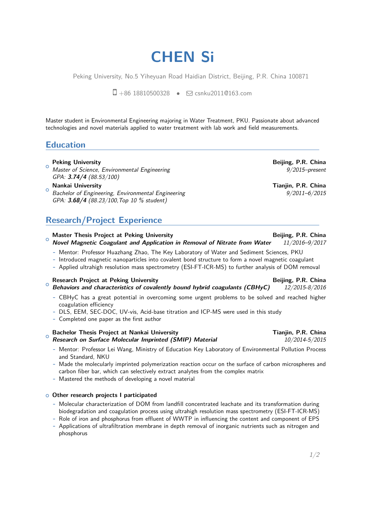# **CHEN Si**

Peking University, No.5 Yiheyuan Road Haidian District, Beijing, P.R. China 100871

 $\Box$  +86 18810500328 •  $\Box$  csnku20110163.com

Master student in Environmental Engineering majoring in Water Treatment, PKU. Passionate about advanced technologies and novel materials applied to water treatment with lab work and field measurements.

### **Education**

### $\circ$ **Peking University Beijing, P.R. China**

- Master of Science, Environmental Engineering and the state of the state of 9/2015–present GPA: **3.74/4** (88.53/100)
- $\circ$ **Nankai University Tianjin, P.R. China** Bachelor of Engineering, Environmental Engineering 9/2011–6/2015 GPA: **3.68/4** (88.23/100,Top 10 % student)

# **Research/Project Experience**

#### $\circ$ **Master Thesis Project at Peking University Server All and Server All and Server All and Server All and Server All and Server All and Server All and Server All and Server All and Server All and Server All and Server All an Novel Magnetic Coagulant and Application in Removal of Nitrate from Water** 11/2016–9/2017

- **-** Mentor: Professor Huazhang Zhao, The Key Laboratory of Water and Sediment Sciences, PKU
- **-** Introduced magnetic nanoparticles into covalent bond structure to form a novel magnetic coagulant
- **-** Applied ultrahigh resolution mass spectrometry (ESI-FT-ICR-MS) to further analysis of DOM removal

### $\circ$ **Research Project at Peking University Beijing, P.R. China Behaviors and characteristics of covalently bound hybrid coagulants (CBHyC)** 12/2015-8/2016

- **-** CBHyC has a great potential in overcoming some urgent problems to be solved and reached higher coagulation efficiency
- **-** DLS, EEM, SEC-DOC, UV-vis, Acid-base titration and ICP-MS were used in this study
- **-** Completed one paper as the first author

### $\circ$ **Bachelor Thesis Project at Nankai University Tianjin, P.R. China Research on Surface Molecular Imprinted (SMIP) Material** 10/2014-5/2015

- **-** Mentor: Professor Lei Wang, Ministry of Education Key Laboratory of Environmental Pollution Process and Standard, NKU
- **-** Made the molecularly imprinted polymerization reaction occur on the surface of carbon microspheres and carbon fiber bar, which can selectively extract analytes from the complex matrix
- **-** Mastered the methods of developing a novel material

### <sup>+</sup> **Other research projects I participated**

- **-** Molecular characterization of DOM from landfill concentrated leachate and its transformation during biodegradation and coagulation process using ultrahigh resolution mass spectrometry (ESI-FT-ICR-MS)
- **-** Role of iron and phosphorus from effluent of WWTP in influencing the content and component of EPS
- **-** Applications of ultrafiltration membrane in depth removal of inorganic nutrients such as nitrogen and phosphorus

1[/2](#page-1-0)